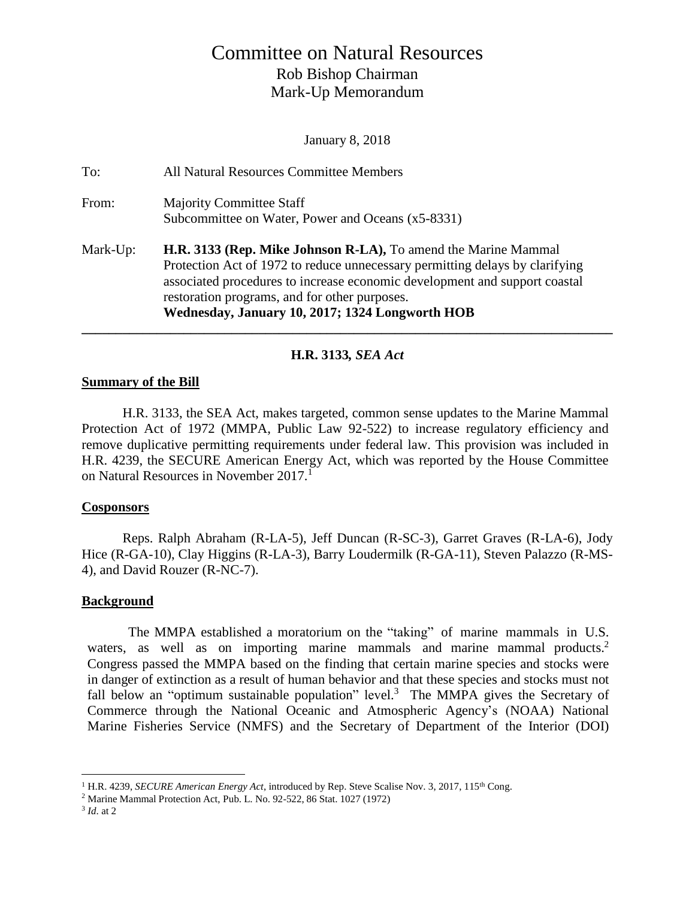# Committee on Natural Resources Rob Bishop Chairman Mark-Up Memorandum

January 8, 2018

| To:      | All Natural Resources Committee Members                                                                                                                                                                                                                                                                                          |
|----------|----------------------------------------------------------------------------------------------------------------------------------------------------------------------------------------------------------------------------------------------------------------------------------------------------------------------------------|
| From:    | <b>Majority Committee Staff</b><br>Subcommittee on Water, Power and Oceans (x5-8331)                                                                                                                                                                                                                                             |
| Mark-Up: | H.R. 3133 (Rep. Mike Johnson R-LA), To amend the Marine Mammal<br>Protection Act of 1972 to reduce unnecessary permitting delays by clarifying<br>associated procedures to increase economic development and support coastal<br>restoration programs, and for other purposes.<br>Wednesday, January 10, 2017; 1324 Longworth HOB |

### **H.R. 3133***, SEA Act*

### **Summary of the Bill**

H.R. 3133, the SEA Act, makes targeted, common sense updates to the Marine Mammal Protection Act of 1972 (MMPA, Public Law 92-522) to increase regulatory efficiency and remove duplicative permitting requirements under federal law. This provision was included in H.R. 4239, the SECURE American Energy Act, which was reported by the House Committee on Natural Resources in November 2017.<sup>1</sup>

### **Cosponsors**

Reps. Ralph Abraham (R-LA-5), Jeff Duncan (R-SC-3), Garret Graves (R-LA-6), Jody Hice (R-GA-10), Clay Higgins (R-LA-3), Barry Loudermilk (R-GA-11), Steven Palazzo (R-MS-4), and David Rouzer (R-NC-7).

### **Background**

The MMPA established a moratorium on the "taking" of marine mammals in U.S. waters, as well as on importing marine mammals and marine mammal products.<sup>2</sup> Congress passed the MMPA based on the finding that certain marine species and stocks were in danger of extinction as a result of human behavior and that these species and stocks must not fall below an "optimum sustainable population" level.<sup>3</sup> The MMPA gives the Secretary of Commerce through the National Oceanic and Atmospheric Agency's (NOAA) National Marine Fisheries Service (NMFS) and the Secretary of Department of the Interior (DOI)

 $\overline{a}$ 

<sup>1</sup> H.R. 4239, *SECURE American Energy Act*, introduced by Rep. Steve Scalise Nov. 3, 2017, 115th Cong.

<sup>2</sup> Marine Mammal Protection Act, Pub. L. No. 92-522, 86 Stat. 1027 (1972)

<sup>3</sup> *Id*. at 2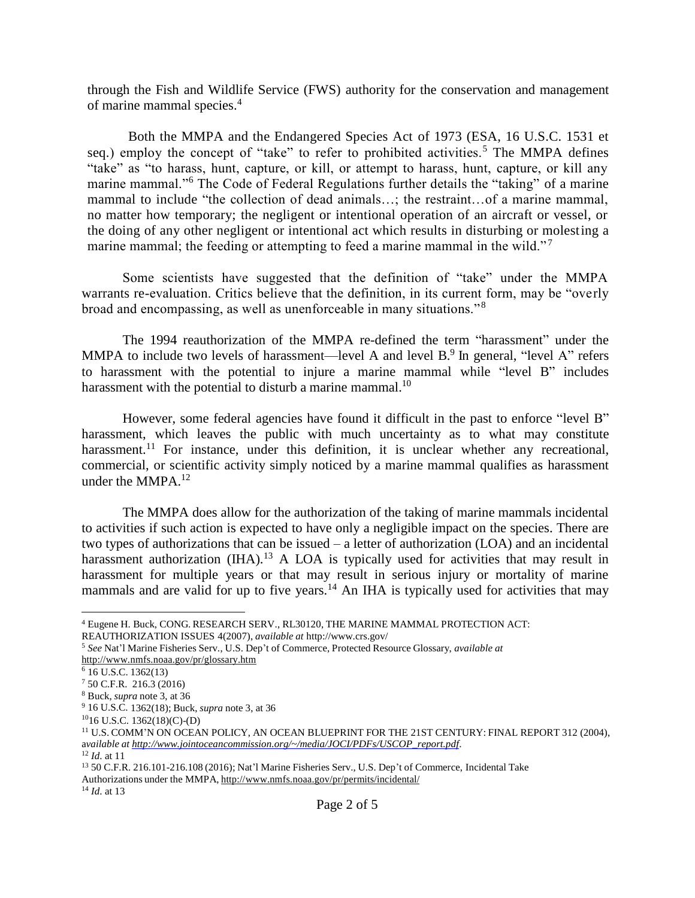through the Fish and Wildlife Service (FWS) authority for the conservation and management of marine mammal species. 4

Both the MMPA and the Endangered Species Act of 1973 (ESA, 16 U.S.C. 1531 et seq.) employ the concept of "take" to refer to prohibited activities.<sup>5</sup> The MMPA defines "take" as "to harass, hunt, capture, or kill, or attempt to harass, hunt, capture, or kill any marine mammal."<sup>6</sup> The Code of Federal Regulations further details the "taking" of a marine mammal to include "the collection of dead animals…; the restraint…of a marine mammal, no matter how temporary; the negligent or intentional operation of an aircraft or vessel, or the doing of any other negligent or intentional act which results in disturbing or molesting a marine mammal; the feeding or attempting to feed a marine mammal in the wild."<sup>7</sup>

Some scientists have suggested that the definition of "take" under the MMPA warrants re-evaluation. Critics believe that the definition, in its current form, may be "overly broad and encompassing, as well as unenforceable in many situations." <sup>8</sup>

The 1994 reauthorization of the MMPA re-defined the term "harassment" under the MMPA to include two levels of harassment—level A and level  $B$ <sup>9</sup>. In general, "level A" refers to harassment with the potential to injure a marine mammal while "level B" includes harassment with the potential to disturb a marine mammal.<sup>10</sup>

However, some federal agencies have found it difficult in the past to enforce "level B" harassment, which leaves the public with much uncertainty as to what may constitute harassment.<sup>11</sup> For instance, under this definition, it is unclear whether any recreational, commercial, or scientific activity simply noticed by a marine mammal qualifies as harassment under the MMPA.<sup>12</sup>

The MMPA does allow for the authorization of the taking of marine mammals incidental to activities if such action is expected to have only a negligible impact on the species. There are two types of authorizations that can be issued – a letter of authorization (LOA) and an incidental harassment authorization  $(II)$ <sup>13</sup> A LOA is typically used for activities that may result in harassment for multiple years or that may result in serious injury or mortality of marine mammals and are valid for up to five years.<sup>14</sup> An IHA is typically used for activities that may

 $\overline{a}$ 

<sup>14</sup> *Id*. at 13

<sup>4</sup> Eugene H. Buck, CONG. RESEARCH SERV., RL30120, THE MARINE MAMMAL PROTECTION ACT: REAUTHORIZATION ISSUES 4(2007), *available at* http://www.crs.gov/

<sup>5</sup> *See* Nat'l Marine Fisheries Serv., U.S. Dep't of Commerce, Protected Resource Glossary, *available at*  <http://www.nmfs.noaa.gov/pr/glossary.htm>

<sup>6</sup> 16 U.S.C. 1362(13)

 $7$  50 C.F.R. 216.3 (2016)

<sup>8</sup> Buck, *supra* note 3, at 36

<sup>9</sup> 16 U.S.C. 1362(18); Buck, *supra* note 3, at 36

 $1016$  U.S.C. 1362(18)(C)-(D)

<sup>11</sup> U.S. COMM'N ON OCEAN POLICY, AN OCEAN BLUEPRINT FOR THE 21ST CENTURY: FINAL REPORT 312 (2004), a*vailable at [http://www.jointoceancommission.org/~/media/JOCI/PDFs/USCOP\\_report.pdf](http://www.jointoceancommission.org/~/media/JOCI/PDFs/USCOP_report.pdf)*.

<sup>12</sup> *Id*. at 11

<sup>13</sup> 50 C.F.R. 216.101-216.108 (2016); Nat'l Marine Fisheries Serv., U.S. Dep't of Commerce, Incidental Take Authorizations under the MMPA, <http://www.nmfs.noaa.gov/pr/permits/incidental/>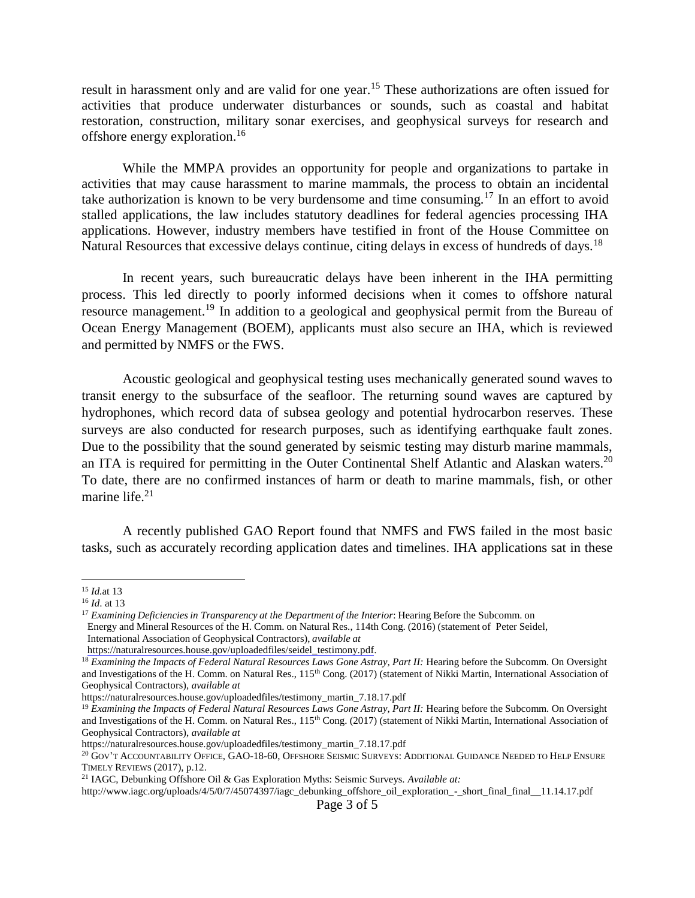result in harassment only and are valid for one year.<sup>15</sup> These authorizations are often issued for activities that produce underwater disturbances or sounds, such as coastal and habitat restoration, construction, military sonar exercises, and geophysical surveys for research and offshore energy exploration.<sup>16</sup>

While the MMPA provides an opportunity for people and organizations to partake in activities that may cause harassment to marine mammals, the process to obtain an incidental take authorization is known to be very burdensome and time consuming.<sup>17</sup> In an effort to avoid stalled applications, the law includes statutory deadlines for federal agencies processing IHA applications. However, industry members have testified in front of the House Committee on Natural Resources that excessive delays continue, citing delays in excess of hundreds of days.<sup>18</sup>

In recent years, such bureaucratic delays have been inherent in the IHA permitting process. This led directly to poorly informed decisions when it comes to offshore natural resource management.<sup>19</sup> In addition to a geological and geophysical permit from the Bureau of Ocean Energy Management (BOEM), applicants must also secure an IHA, which is reviewed and permitted by NMFS or the FWS.

Acoustic geological and geophysical testing uses mechanically generated sound waves to transit energy to the subsurface of the seafloor. The returning sound waves are captured by hydrophones, which record data of subsea geology and potential hydrocarbon reserves. These surveys are also conducted for research purposes, such as identifying earthquake fault zones. Due to the possibility that the sound generated by seismic testing may disturb marine mammals, an ITA is required for permitting in the Outer Continental Shelf Atlantic and Alaskan waters.<sup>20</sup> To date, there are no confirmed instances of harm or death to marine mammals, fish, or other marine life. $21$ 

A recently published GAO Report found that NMFS and FWS failed in the most basic tasks, such as accurately recording application dates and timelines. IHA applications sat in these

 $\overline{a}$ 

<sup>15</sup> *Id.*at 13

<sup>16</sup> *Id*. at 13

<sup>17</sup> *Examining Deficiencies in Transparency at the Department of the Interior*: Hearing Before the Subcomm. on Energy and Mineral Resources of the H. Comm. on Natural Res., 114th Cong. (2016) (statement of Peter Seidel, International Association of Geophysical Contractors), *available at* 

[https://naturalresources.house.gov/uploadedfiles/seidel\\_testimony.pdf.](https://naturalresources.house.gov/uploadedfiles/seidel_testimony.pdf)

<sup>&</sup>lt;sup>18</sup> *Examining the Impacts of Federal Natural Resources Laws Gone Astray, Part II:* Hearing before the Subcomm. On Oversight and Investigations of the H. Comm. on Natural Res., 115<sup>th</sup> Cong. (2017) (statement of Nikki Martin, International Association of Geophysical Contractors), *available at*

https://naturalresources.house.gov/uploadedfiles/testimony\_martin\_7.18.17.pdf

<sup>&</sup>lt;sup>19</sup> Examining the Impacts of Federal Natural Resources Laws Gone Astray, Part II: Hearing before the Subcomm. On Oversight and Investigations of the H. Comm. on Natural Res., 115<sup>th</sup> Cong. (2017) (statement of Nikki Martin, International Association of Geophysical Contractors), *available at*

https://naturalresources.house.gov/uploadedfiles/testimony\_martin\_7.18.17.pdf

<sup>20</sup> GOV'T ACCOUNTABILITY OFFICE, GAO-18-60, OFFSHORE SEISMIC SURVEYS: ADDITIONAL GUIDANCE NEEDED TO HELP ENSURE TIMELY REVIEWS (2017), p.12.

<sup>21</sup> IAGC, Debunking Offshore Oil & Gas Exploration Myths: Seismic Surveys. *Available at:*

http://www.iagc.org/uploads/4/5/0/7/45074397/iagc\_debunking\_offshore\_oil\_exploration\_-\_short\_final\_final\_\_11.14.17.pdf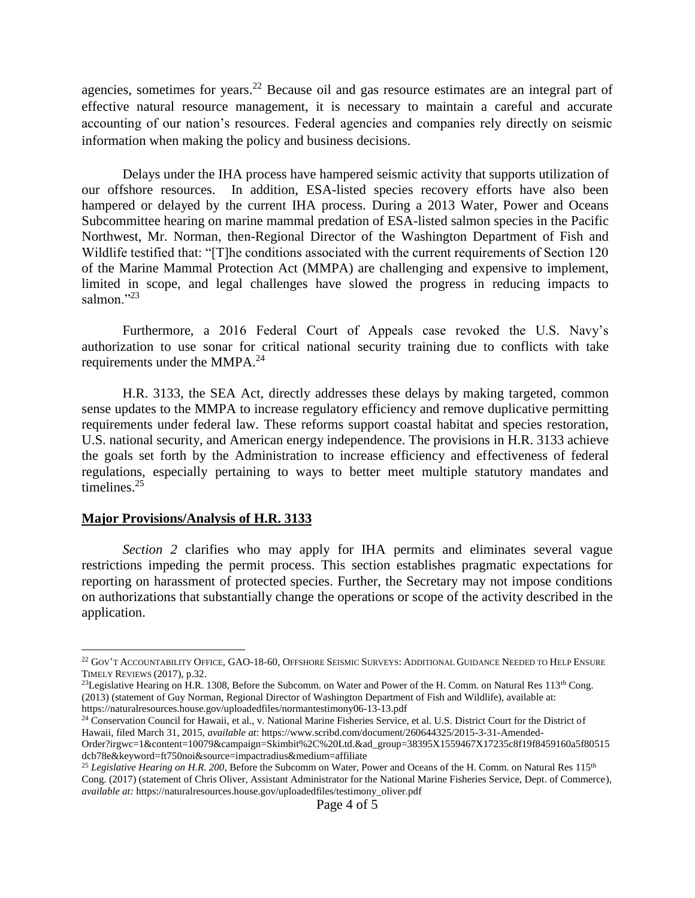agencies, sometimes for years.<sup>22</sup> Because oil and gas resource estimates are an integral part of effective natural resource management, it is necessary to maintain a careful and accurate accounting of our nation's resources. Federal agencies and companies rely directly on seismic information when making the policy and business decisions.

Delays under the IHA process have hampered seismic activity that supports utilization of our offshore resources. In addition, ESA-listed species recovery efforts have also been hampered or delayed by the current IHA process. During a 2013 Water, Power and Oceans Subcommittee hearing on marine mammal predation of ESA-listed salmon species in the Pacific Northwest, Mr. Norman, then-Regional Director of the Washington Department of Fish and Wildlife testified that: "[T]he conditions associated with the current requirements of Section 120 of the Marine Mammal Protection Act (MMPA) are challenging and expensive to implement, limited in scope, and legal challenges have slowed the progress in reducing impacts to salmon."23

Furthermore, a 2016 Federal Court of Appeals case revoked the U.S. Navy's authorization to use sonar for critical national security training due to conflicts with take requirements under the MMPA.<sup>24</sup>

H.R. 3133, the SEA Act, directly addresses these delays by making targeted, common sense updates to the MMPA to increase regulatory efficiency and remove duplicative permitting requirements under federal law. These reforms support coastal habitat and species restoration, U.S. national security, and American energy independence. The provisions in H.R. 3133 achieve the goals set forth by the Administration to increase efficiency and effectiveness of federal regulations, especially pertaining to ways to better meet multiple statutory mandates and timelines.<sup>25</sup>

#### **Major Provisions/Analysis of H.R. 3133**

 $\overline{a}$ 

*Section 2* clarifies who may apply for IHA permits and eliminates several vague restrictions impeding the permit process. This section establishes pragmatic expectations for reporting on harassment of protected species. Further, the Secretary may not impose conditions on authorizations that substantially change the operations or scope of the activity described in the application.

 $^{22}$  Gov't Accountability Office, GAO-18-60, Offshore Seismic Surveys: Additional Guidance Needed to Help Ensure TIMELY REVIEWS (2017), p.32.

<sup>&</sup>lt;sup>23</sup>Legislative Hearing on H.R. 1308, Before the Subcomm. on Water and Power of the H. Comm. on Natural Res  $113<sup>th</sup>$  Cong. (2013) (statement of Guy Norman, Regional Director of Washington Department of Fish and Wildlife), available at: https://naturalresources.house.gov/uploadedfiles/normantestimony06-13-13.pdf

<sup>&</sup>lt;sup>24</sup> Conservation Council for Hawaii, et al., v. National Marine Fisheries Service, et al. U.S. District Court for the District of Hawaii, filed March 31, 2015, *available at*: https://www.scribd.com/document/260644325/2015-3-31-Amended-

Order?irgwc=1&content=10079&campaign=Skimbit%2C%20Ltd.&ad\_group=38395X1559467X17235c8f19f8459160a5f80515 dcb78e&keyword=ft750noi&source=impactradius&medium=affiliate

<sup>&</sup>lt;sup>25</sup> Legislative Hearing on H.R. 200, Before the Subcomm on Water, Power and Oceans of the H. Comm. on Natural Res 115<sup>th</sup> Cong. (2017) (statement of Chris Oliver, Assistant Administrator for the National Marine Fisheries Service, Dept. of Commerce), *available at:* https://naturalresources.house.gov/uploadedfiles/testimony\_oliver.pdf